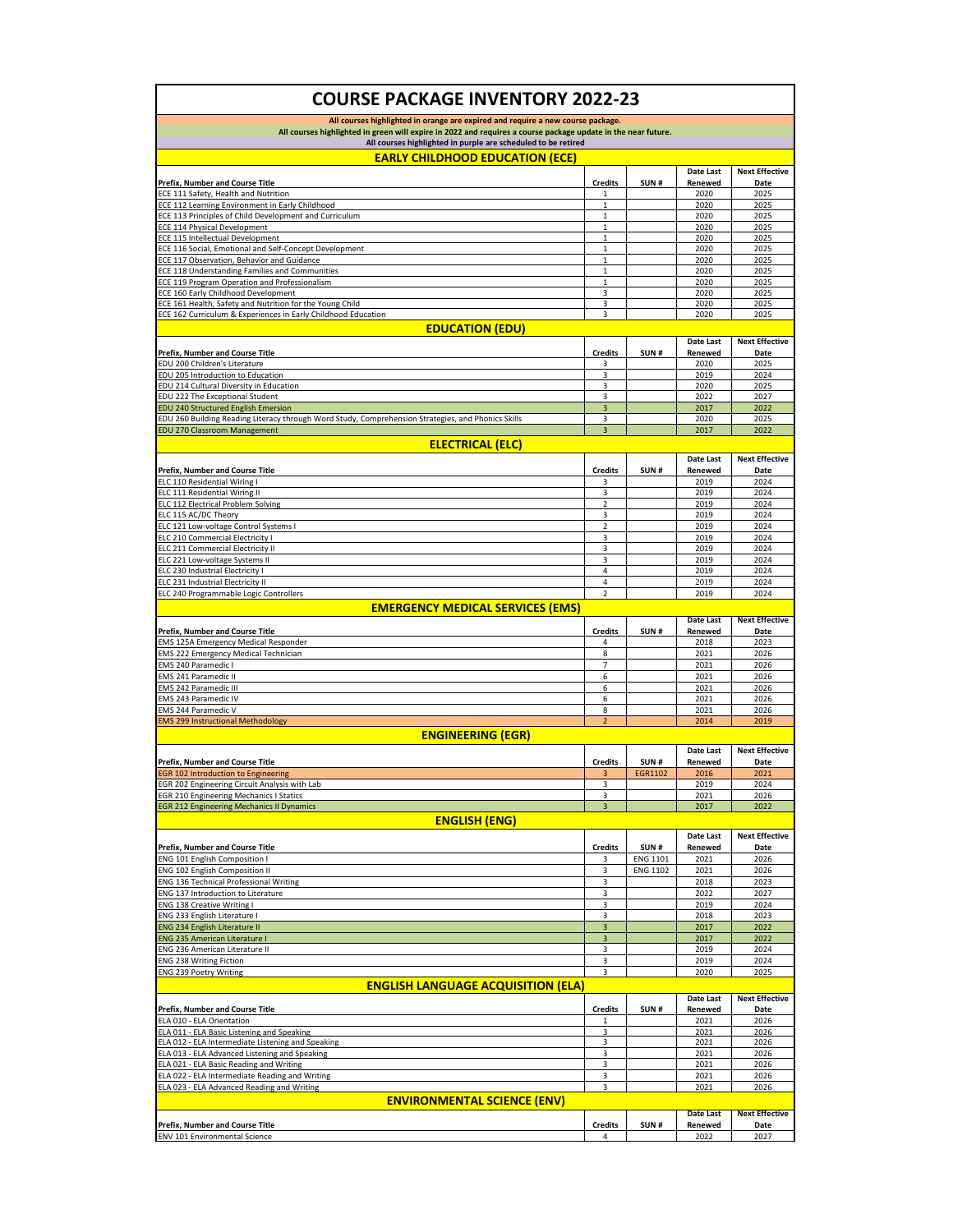| <b>COURSE PACKAGE INVENTORY 2022-23</b>                                                                                                                                                                                                                           |                              |                         |                      |                               |  |  |
|-------------------------------------------------------------------------------------------------------------------------------------------------------------------------------------------------------------------------------------------------------------------|------------------------------|-------------------------|----------------------|-------------------------------|--|--|
| All courses highlighted in orange are expired and require a new course package.<br>All courses highlighted in green will expire in 2022 and requires a course package update in the near future.<br>All courses highlighted in purple are scheduled to be retired |                              |                         |                      |                               |  |  |
|                                                                                                                                                                                                                                                                   |                              |                         |                      |                               |  |  |
| Prefix, Number and Course Title                                                                                                                                                                                                                                   | <b>Credits</b>               | SUN#                    | Renewed              | Date                          |  |  |
| ECE 111 Safety, Health and Nutrition                                                                                                                                                                                                                              | 1                            |                         | 2020                 | 2025                          |  |  |
| ECE 112 Learning Environment in Early Childhood<br>ECE 113 Principles of Child Development and Curriculum                                                                                                                                                         | $\mathbf{1}$<br>1            |                         | 2020<br>2020         | 2025<br>2025                  |  |  |
| ECE 114 Physical Development                                                                                                                                                                                                                                      | $\mathbf 1$                  |                         | 2020                 | 2025                          |  |  |
| <b>ECE 115 Intellectual Development</b>                                                                                                                                                                                                                           | $\mathbf{1}$                 |                         | 2020                 | 2025                          |  |  |
| ECE 116 Social, Emotional and Self-Concept Development                                                                                                                                                                                                            | $\mathbf 1$                  |                         | 2020                 | 2025                          |  |  |
| ECE 117 Observation, Behavior and Guidance                                                                                                                                                                                                                        | 1                            |                         | 2020                 | 2025                          |  |  |
| ECE 118 Understanding Families and Communities<br>ECE 119 Program Operation and Professionalism                                                                                                                                                                   | $\mathbf{1}$<br>$\mathbf{1}$ |                         | 2020<br>2020         | 2025<br>2025                  |  |  |
| ECE 160 Early Childhood Development                                                                                                                                                                                                                               | 3                            |                         | 2020                 | 2025                          |  |  |
| ECE 161 Health, Safety and Nutrition for the Young Child                                                                                                                                                                                                          | 3                            |                         | 2020                 | 2025                          |  |  |
| ECE 162 Curriculum & Experiences in Early Childhood Education                                                                                                                                                                                                     | 3                            |                         | 2020                 | 2025                          |  |  |
| <b>EDUCATION (EDU)</b>                                                                                                                                                                                                                                            |                              |                         |                      |                               |  |  |
|                                                                                                                                                                                                                                                                   |                              |                         | Date Last            | <b>Next Effective</b>         |  |  |
| Prefix, Number and Course Title<br>EDU 200 Children's Literature                                                                                                                                                                                                  | <b>Credits</b>               | SUN#                    | Renewed              | Date                          |  |  |
| EDU 205 Introduction to Education                                                                                                                                                                                                                                 | 3<br>3                       |                         | 2020<br>2019         | 2025<br>2024                  |  |  |
| EDU 214 Cultural Diversity in Education                                                                                                                                                                                                                           | 3                            |                         | 2020                 | 2025                          |  |  |
| EDU 222 The Exceptional Student                                                                                                                                                                                                                                   | 3                            |                         | 2022                 | 2027                          |  |  |
| <b>EDU 240 Structured English Emersion</b>                                                                                                                                                                                                                        | $\overline{\mathbf{3}}$      |                         | 2017                 | 2022                          |  |  |
| EDU 260 Building Reading Literacy through Word Study, Comprehension Strategies, and Phonics Skills                                                                                                                                                                | 3                            |                         | 2020                 | 2025                          |  |  |
| EDU 270 Classroom Management                                                                                                                                                                                                                                      | 3                            |                         | 2017                 | 2022                          |  |  |
| <b>ELECTRICAL (ELC)</b>                                                                                                                                                                                                                                           |                              |                         |                      |                               |  |  |
|                                                                                                                                                                                                                                                                   |                              |                         | Date Last            | <b>Next Effective</b>         |  |  |
| <b>Prefix, Number and Course Title</b><br>ELC 110 Residential Wiring I                                                                                                                                                                                            | <b>Credits</b><br>3          | SUN#                    | Renewed<br>2019      | Date<br>2024                  |  |  |
| ELC 111 Residential Wiring II                                                                                                                                                                                                                                     | 3                            |                         | 2019                 | 2024                          |  |  |
| ELC 112 Electrical Problem Solving                                                                                                                                                                                                                                | $\overline{2}$               |                         | 2019                 | 2024                          |  |  |
| ELC 115 AC/DC Theory                                                                                                                                                                                                                                              | 3                            |                         | 2019                 | 2024                          |  |  |
| ELC 121 Low-voltage Control Systems I                                                                                                                                                                                                                             | $\overline{2}$               |                         | 2019                 | 2024                          |  |  |
| ELC 210 Commercial Electricity I                                                                                                                                                                                                                                  | 3                            |                         | 2019                 | 2024                          |  |  |
| ELC 211 Commercial Electricity II                                                                                                                                                                                                                                 | 3                            |                         | 2019                 | 2024                          |  |  |
| ELC 221 Low-voltage Systems II<br>ELC 230 Industrial Electricity I                                                                                                                                                                                                | 3<br>4                       |                         | 2019<br>2019         | 2024<br>2024                  |  |  |
| ELC 231 Industrial Electricity II                                                                                                                                                                                                                                 | $\overline{4}$               |                         | 2019                 | 2024                          |  |  |
| ELC 240 Programmable Logic Controllers                                                                                                                                                                                                                            | $\overline{2}$               |                         | 2019                 | 2024                          |  |  |
| <b>EMERGENCY MEDICAL SERVICES (EMS)</b>                                                                                                                                                                                                                           |                              |                         |                      |                               |  |  |
|                                                                                                                                                                                                                                                                   |                              |                         |                      |                               |  |  |
|                                                                                                                                                                                                                                                                   |                              |                         | <b>Date Last</b>     | <b>Next Effective</b>         |  |  |
| Prefix, Number and Course Title                                                                                                                                                                                                                                   | <b>Credits</b>               | SUN#                    | Renewed              | Date                          |  |  |
| EMS 125A Emergency Medical Responder                                                                                                                                                                                                                              | 4                            |                         | 2018                 | 2023                          |  |  |
| EMS 222 Emergency Medical Technician                                                                                                                                                                                                                              | 8                            |                         | 2021                 | 2026                          |  |  |
| EMS 240 Paramedic I                                                                                                                                                                                                                                               | 7                            |                         | 2021                 | 2026                          |  |  |
| EMS 241 Paramedic II                                                                                                                                                                                                                                              | 6<br>6                       |                         | 2021<br>2021         | 2026<br>2026                  |  |  |
| EMS 242 Paramedic III<br>EMS 243 Paramedic IV                                                                                                                                                                                                                     | 6                            |                         | 2021                 | 2026                          |  |  |
| EMS 244 Paramedic V                                                                                                                                                                                                                                               | 8                            |                         | 2021                 | 2026                          |  |  |
| <b>EMS 299 Instructional Methodology</b>                                                                                                                                                                                                                          | $\overline{2}$               |                         | 2014                 | 2019                          |  |  |
| <b>ENGINEERING (EGR)</b>                                                                                                                                                                                                                                          |                              |                         |                      |                               |  |  |
|                                                                                                                                                                                                                                                                   |                              |                         | Date Last            | <b>Next Effective</b>         |  |  |
| Prefix, Number and Course Title                                                                                                                                                                                                                                   | <b>Credits</b>               | SUN#                    | Renewed              | Date                          |  |  |
| <b>EGR 102 Introduction to Engineering</b>                                                                                                                                                                                                                        | 3                            | <b>EGR1102</b>          | 2016                 | 2021                          |  |  |
| GR 202 Engineering Circuit Analysis with Lab                                                                                                                                                                                                                      |                              |                         |                      | 202                           |  |  |
| <b>EGR 210 Engineering Mechanics I Statics</b>                                                                                                                                                                                                                    | 3<br>$\overline{\mathbf{3}}$ |                         | 2021                 | 2026<br>2022                  |  |  |
| <b>EGR 212 Engineering Mechanics II Dynamics</b>                                                                                                                                                                                                                  |                              |                         | 2017                 |                               |  |  |
| <b>ENGLISH (ENG)</b>                                                                                                                                                                                                                                              |                              |                         |                      |                               |  |  |
|                                                                                                                                                                                                                                                                   |                              |                         | Date Last            | <b>Next Effective</b>         |  |  |
| Prefix, Number and Course Title<br>ENG 101 English Composition I                                                                                                                                                                                                  | <b>Credits</b><br>3          | SUN#<br><b>ENG 1101</b> | Renewed<br>2021      | Date<br>2026                  |  |  |
| ENG 102 English Composition II                                                                                                                                                                                                                                    | 3                            | <b>ENG 1102</b>         | 2021                 | 2026                          |  |  |
| <b>ENG 136 Technical Professional Writing</b>                                                                                                                                                                                                                     | 3                            |                         | 2018                 | 2023                          |  |  |
| ENG 137 Introduction to Literature                                                                                                                                                                                                                                | 3                            |                         | 2022                 | 2027                          |  |  |
| ENG 138 Creative Writing I                                                                                                                                                                                                                                        | 3                            |                         | 2019                 | 2024                          |  |  |
| ENG 233 English Literature I                                                                                                                                                                                                                                      | 3                            |                         | 2018                 | 2023                          |  |  |
| ENG 234 English Literature II                                                                                                                                                                                                                                     | 3                            |                         | 2017                 | 2022                          |  |  |
| <b>ENG 235 American Literature I</b><br>ENG 236 American Literature II                                                                                                                                                                                            | 3<br>3                       |                         | 2017<br>2019         | 2022<br>2024                  |  |  |
| <b>ENG 238 Writing Fiction</b>                                                                                                                                                                                                                                    | 3                            |                         | 2019                 | 2024                          |  |  |
| ENG 239 Poetry Writing                                                                                                                                                                                                                                            | 3                            |                         | 2020                 | 2025                          |  |  |
| <b>ENGLISH LANGUAGE ACQUISITION (ELA)</b>                                                                                                                                                                                                                         |                              |                         |                      |                               |  |  |
|                                                                                                                                                                                                                                                                   |                              |                         | Date Last            | <b>Next Effective</b>         |  |  |
| Prefix, Number and Course Title                                                                                                                                                                                                                                   | <b>Credits</b>               | SUN#                    | Renewed              | Date                          |  |  |
| ELA 010 - ELA Orientation                                                                                                                                                                                                                                         | 1                            |                         | 2021                 | 2026                          |  |  |
| ELA 011 - ELA Basic Listening and Speaking                                                                                                                                                                                                                        | 3<br>3                       |                         | 2021<br>2021         | 2026<br>2026                  |  |  |
| ELA 012 - ELA Intermediate Listening and Speaking<br>ELA 013 - ELA Advanced Listening and Speaking                                                                                                                                                                | 3                            |                         | 2021                 | 2026                          |  |  |
| ELA 021 - ELA Basic Reading and Writing                                                                                                                                                                                                                           | 3                            |                         | 2021                 | 2026                          |  |  |
| ELA 022 - ELA Intermediate Reading and Writing                                                                                                                                                                                                                    | 3                            |                         | 2021                 | 2026                          |  |  |
| ELA 023 - ELA Advanced Reading and Writing                                                                                                                                                                                                                        | 3                            |                         | 2021                 | 2026                          |  |  |
| <b>ENVIRONMENTAL SCIENCE (ENV)</b>                                                                                                                                                                                                                                |                              |                         |                      |                               |  |  |
| Prefix, Number and Course Title                                                                                                                                                                                                                                   | <b>Credits</b>               | SUN#                    | Date Last<br>Renewed | <b>Next Effective</b><br>Date |  |  |